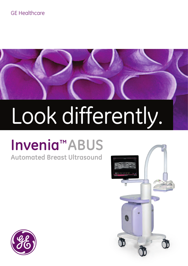### GE Healthcare



# Look differently.

## **Invenia™ABUS**

**Automated Breast Ultrasound**



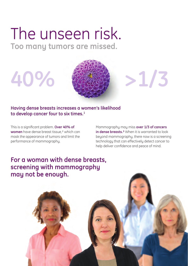### The unseen risk. **Too many tumors are missed.**



### **Having dense breasts increases a women's likelihood to develop cancer four to six times.1**

This is a significant problem. **Over 40% of women** have dense breast tissue,² which can mask the appearance of tumors and limit the performance of mammography.

Mammography may miss **over 1/3 of cancers in dense breasts.**<sup>3</sup> When it is warranted to look beyond mammography, there now is a screening technology that can effectively detect cancer to help deliver confidence and peace of mind.

### **For a woman with dense breasts, screening with mammography may not be enough.**

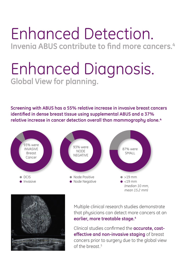### Enhanced Detection. **Invenia ABUS contribute to find more cancers.<sup>4</sup>**

### Enhanced Diagnosis. **Global View for planning.**

**Screening with ABUS has a 55% relative increase in invasive breast cancers identified in dense breast tissue using supplemental ABUS and a 37%**  relative increase in cancer detection overall than mammography alone.<sup>4</sup>





Multiple clinical research studies demonstrate that physicians can detect more cancers at an **earlier, more treatable stage.4**

Clinical studies confirmed the **accurate, costeffective and non-invasive staging** of breast cancers prior to surgery due to the global view of the breast <sup>5</sup>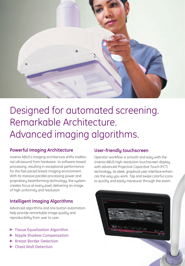

### Designed for automated screening. Remarkable Architecture. Advanced imaging algorithms.

### **Powerful Imaging Architecture**

Invenia ABUS's imaging architecture shifts traditional ultrasound from hardware- to software-based processing, resulting in exceptional performance for the fast paced breast imaging environment. With its massive parallel processing power and proprietary beamforming technology, the system creates focus at every pixel, delivering an image of high uniformity and resolution

### **Intelligent Imaging Algorithms**

Advanced algorithms and one button automation help provide remarkable image quality and reproducibility from user to user.

- **Fissue Equalization Algorithm**
- **Nipple Shadow Compensation**
- **Breast Border Detection**
- **Chest Wall Detection**

### **User-friendly touchscreen**

Operator workflow is smooth and easy with the Invenia ABUS high-resolution touchscreen display with advanced Projective Capacitive Touch (PCT) technology. Its sleek, graphical user interface enhances the way you work. Tap and swipe colorful icons to quickly and easily maneuver through the exam.

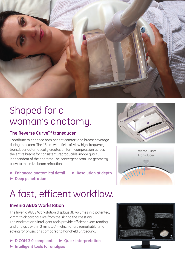

### Shaped for a woman's anatomy.

### The Reverse Curve<sup>™</sup> transducer

Contribute to enhance both patient comfort and breast coverage during the exam. The 15 cm wide field-of-view high-frequency transducer automatically creates uniform compression across the entire breast for consistent, reproducible image quality independent of the operator. The convergent scan line geometry allow to minimize beam refraction.

- **Enhanced anatomical detail P** Resolution at depth
- 
- **P** Deep penetration

### A fast, efficent workflow.

### **Invenia ABUS Workstation**

The Invenia ABUS Workstation displays 3D volumes in a patented, 2 mm thick coronal slice from the skin to the chest wall. The workstation's intelligent tools provide efficient exam reading and analysis within 3 minutes $6$  - which offers remarkable time saving for physicians compared to handheld ultrasound.

- ▶ DICOM 3.0 compliant ▶ Quick interpretation
- **Intelligent tools for analysis**